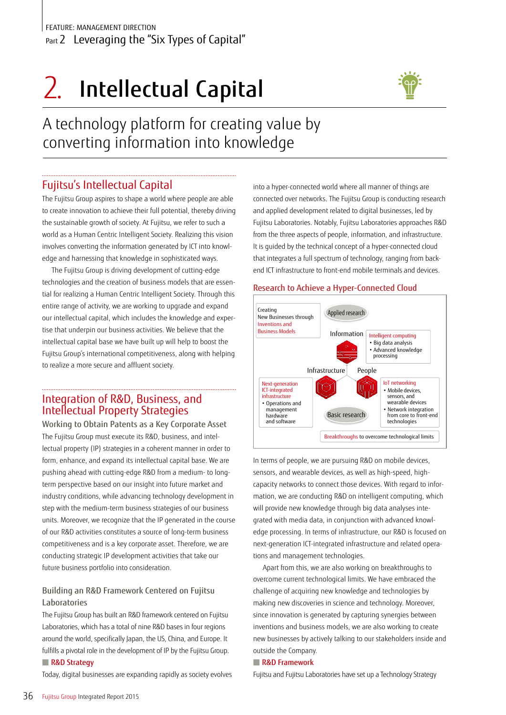# 2. Intellectual Capital



A technology platform for creating value by converting information into knowledge

## Fujitsu's Intellectual Capital

The Fujitsu Group aspires to shape a world where people are able to create innovation to achieve their full potential, thereby driving the sustainable growth of society. At Fujitsu, we refer to such a world as a Human Centric Intelligent Society. Realizing this vision involves converting the information generated by ICT into knowledge and harnessing that knowledge in sophisticated ways.

The Fujitsu Group is driving development of cutting-edge technologies and the creation of business models that are essential for realizing a Human Centric Intelligent Society. Through this entire range of activity, we are working to upgrade and expand our intellectual capital, which includes the knowledge and expertise that underpin our business activities. We believe that the intellectual capital base we have built up will help to boost the Fujitsu Group's international competitiveness, along with helping to realize a more secure and affluent society.

## Integration of R&D, Business, and Intellectual Property Strategies

Working to Obtain Patents as a Key Corporate Asset The Fujitsu Group must execute its R&D, business, and intellectual property (IP) strategies in a coherent manner in order to form, enhance, and expand its intellectual capital base. We are pushing ahead with cutting-edge R&D from a medium- to longterm perspective based on our insight into future market and industry conditions, while advancing technology development in step with the medium-term business strategies of our business units. Moreover, we recognize that the IP generated in the course of our R&D activities constitutes a source of long-term business competitiveness and is a key corporate asset. Therefore, we are conducting strategic IP development activities that take our future business portfolio into consideration.

### Building an R&D Framework Centered on Fujitsu Laboratories

The Fujitsu Group has built an R&D framework centered on Fujitsu Laboratories, which has a total of nine R&D bases in four regions around the world, specifically Japan, the US, China, and Europe. It fulfills a pivotal role in the development of IP by the Fujitsu Group.

#### ■ R&D Strategy

Today, digital businesses are expanding rapidly as society evolves

into a hyper-connected world where all manner of things are connected over networks. The Fujitsu Group is conducting research and applied development related to digital businesses, led by Fujitsu Laboratories. Notably, Fujitsu Laboratories approaches R&D from the three aspects of people, information, and infrastructure. It is guided by the technical concept of a hyper-connected cloud that integrates a full spectrum of technology, ranging from backend ICT infrastructure to front-end mobile terminals and devices.

#### Research to Achieve a Hyper-Connected Cloud



In terms of people, we are pursuing R&D on mobile devices, sensors, and wearable devices, as well as high-speed, highcapacity networks to connect those devices. With regard to information, we are conducting R&D on intelligent computing, which will provide new knowledge through big data analyses integrated with media data, in conjunction with advanced knowledge processing. In terms of infrastructure, our R&D is focused on next-generation ICT-integrated infrastructure and related operations and management technologies.

Apart from this, we are also working on breakthroughs to overcome current technological limits. We have embraced the challenge of acquiring new knowledge and technologies by making new discoveries in science and technology. Moreover, since innovation is generated by capturing synergies between inventions and business models, we are also working to create new businesses by actively talking to our stakeholders inside and outside the Company.

#### ■ R&D Framework

Fujitsu and Fujitsu Laboratories have set up a Technology Strategy